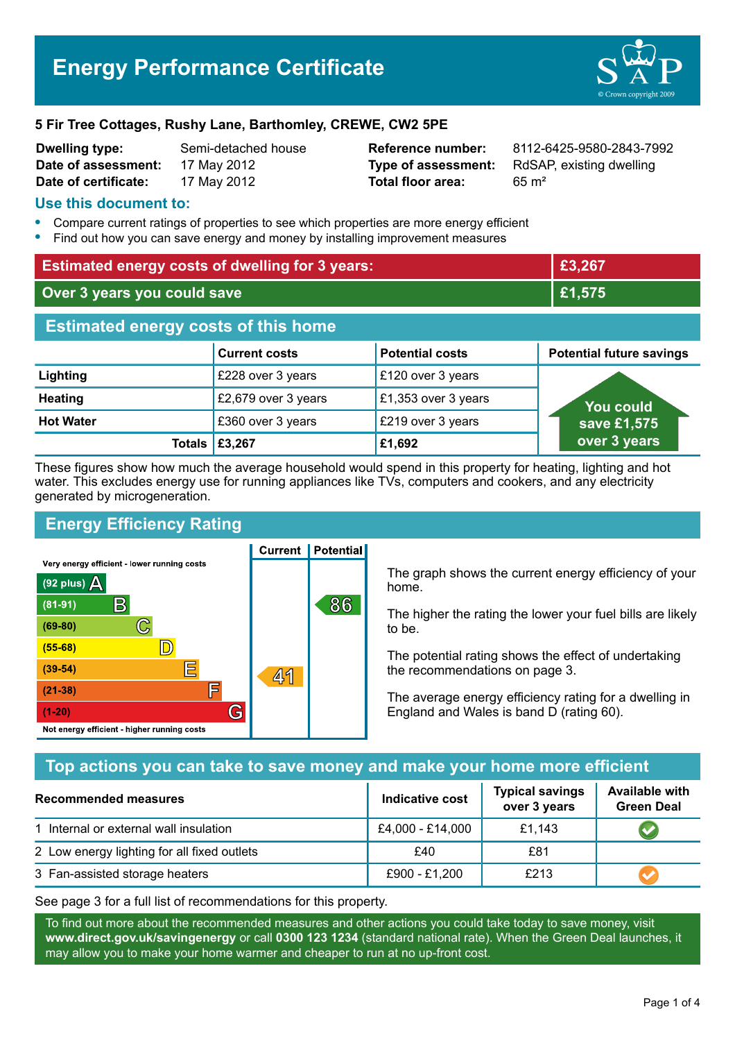#### **5 Fir Tree Cottages, Rushy Lane, Barthomley, CREWE, CW2 5PE**

| <b>Dwelling type:</b> | Semi-detached hor |
|-----------------------|-------------------|
| Date of assessment:   | 17 May 2012       |
| Date of certificate:  | 17 May 2012       |

**Total floor area:** 65 m<sup>2</sup>

**Dwelling type:** Semi-detached house **Reference number:** 8112-6425-9580-2843-7992 **Type of assessment:** RdSAP, existing dwelling

#### **Use this document to:**

- **•** Compare current ratings of properties to see which properties are more energy efficient
- **•** Find out how you can save energy and money by installing improvement measures

| <b>Estimated energy costs of dwelling for 3 years:</b> |                      |                        | £3,267                          |
|--------------------------------------------------------|----------------------|------------------------|---------------------------------|
| Over 3 years you could save                            |                      | £1,575                 |                                 |
| <b>Estimated energy costs of this home</b>             |                      |                        |                                 |
|                                                        | <b>Current costs</b> | <b>Potential costs</b> | <b>Potential future savings</b> |
| Lighting                                               | £228 over 3 years    | £120 over 3 years      |                                 |
| <b>Heating</b>                                         | £2,679 over 3 years  | £1,353 over 3 years    | <b>You could</b>                |
| <b>Hot Water</b>                                       | £360 over 3 years    | £219 over 3 years      | save £1,575                     |
| Totals                                                 | £3,267               | £1,692                 | over 3 years                    |

These figures show how much the average household would spend in this property for heating, lighting and hot water. This excludes energy use for running appliances like TVs, computers and cookers, and any electricity generated by microgeneration.

**Current | Potential** 

## **Energy Efficiency Rating**

Very energy efficient - lower running costs



The graph shows the current energy efficiency of your home.

The higher the rating the lower your fuel bills are likely to be.

The potential rating shows the effect of undertaking the recommendations on page 3.

The average energy efficiency rating for a dwelling in England and Wales is band D (rating 60).

## **Top actions you can take to save money and make your home more efficient**

| <b>Recommended measures</b>                 | <b>Indicative cost</b> | <b>Typical savings</b><br>over 3 years | <b>Available with</b><br><b>Green Deal</b> |
|---------------------------------------------|------------------------|----------------------------------------|--------------------------------------------|
| 1 Internal or external wall insulation      | £4,000 - £14,000       | £1,143                                 |                                            |
| 2 Low energy lighting for all fixed outlets | £40                    | £81                                    |                                            |
| 3 Fan-assisted storage heaters              | £900 - £1,200          | £213                                   |                                            |

See page 3 for a full list of recommendations for this property.

To find out more about the recommended measures and other actions you could take today to save money, visit **www.direct.gov.uk/savingenergy** or call **0300 123 1234** (standard national rate). When the Green Deal launches, it may allow you to make your home warmer and cheaper to run at no up-front cost.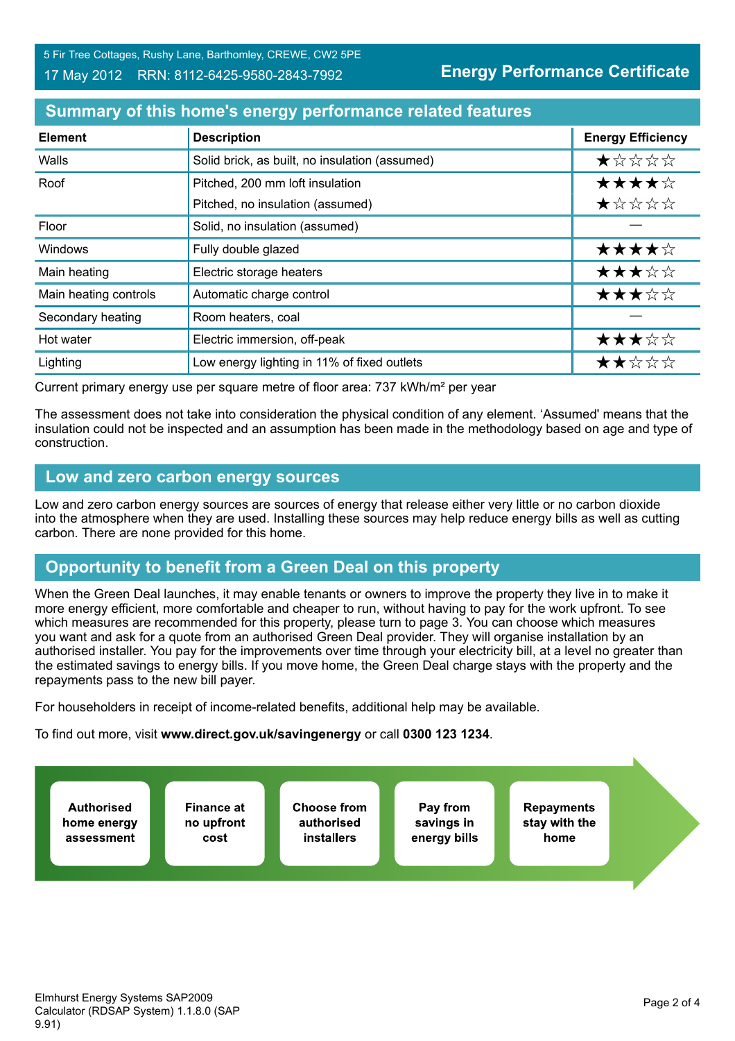## **Summary of this home's energy performance related features**

| <b>Element</b>        | <b>Description</b>                             | <b>Energy Efficiency</b> |
|-----------------------|------------------------------------------------|--------------------------|
| Walls                 | Solid brick, as built, no insulation (assumed) | *****                    |
| Roof                  | Pitched, 200 mm loft insulation                | ★★★★☆                    |
|                       | Pitched, no insulation (assumed)               | ★☆☆☆☆                    |
| Floor                 | Solid, no insulation (assumed)                 |                          |
| Windows               | Fully double glazed                            | ★★★★☆                    |
| Main heating          | Electric storage heaters                       | ★★★☆☆                    |
| Main heating controls | Automatic charge control                       | ★★★☆☆                    |
| Secondary heating     | Room heaters, coal                             |                          |
| Hot water             | Electric immersion, off-peak                   | ★★★☆☆                    |
| Lighting              | Low energy lighting in 11% of fixed outlets    | ★★☆☆☆                    |

Current primary energy use per square metre of floor area: 737 kWh/m² per year

The assessment does not take into consideration the physical condition of any element. 'Assumed' means that the insulation could not be inspected and an assumption has been made in the methodology based on age and type of construction.

### **Low and zero carbon energy sources**

Low and zero carbon energy sources are sources of energy that release either very little or no carbon dioxide into the atmosphere when they are used. Installing these sources may help reduce energy bills as well as cutting carbon. There are none provided for this home.

# **Opportunity to benefit from a Green Deal on this property**

When the Green Deal launches, it may enable tenants or owners to improve the property they live in to make it more energy efficient, more comfortable and cheaper to run, without having to pay for the work upfront. To see which measures are recommended for this property, please turn to page 3. You can choose which measures you want and ask for a quote from an authorised Green Deal provider. They will organise installation by an authorised installer. You pay for the improvements over time through your electricity bill, at a level no greater than the estimated savings to energy bills. If you move home, the Green Deal charge stays with the property and the repayments pass to the new bill payer.

For householders in receipt of income-related benefits, additional help may be available.

To find out more, visit **www.direct.gov.uk/savingenergy** or call **0300 123 1234**.

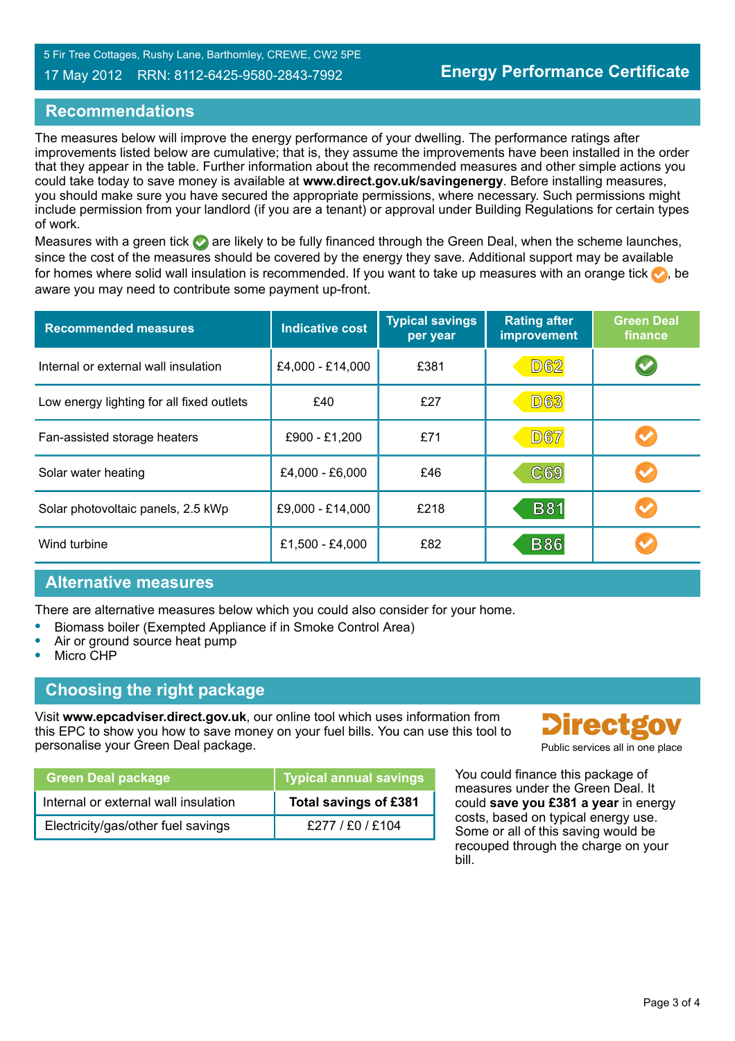#### 17 May 2012 RRN: 8112-6425-9580-2843-7992

## **Recommendations**

The measures below will improve the energy performance of your dwelling. The performance ratings after improvements listed below are cumulative; that is, they assume the improvements have been installed in the order that they appear in the table. Further information about the recommended measures and other simple actions you could take today to save money is available at **www.direct.gov.uk/savingenergy**. Before installing measures, you should make sure you have secured the appropriate permissions, where necessary. Such permissions might include permission from your landlord (if you are a tenant) or approval under Building Regulations for certain types of work.

Measures with a green tick  $\bullet$  are likely to be fully financed through the Green Deal, when the scheme launches, since the cost of the measures should be covered by the energy they save. Additional support may be available for homes where solid wall insulation is recommended. If you want to take up measures with an orange tick  $\bullet$ , be aware you may need to contribute some payment up-front.

| <b>Recommended measures</b>               | <b>Indicative cost</b> | <b>Typical savings</b><br>per year | <b>Rating after</b><br>improvement | <b>Green Deal</b><br>finance |
|-------------------------------------------|------------------------|------------------------------------|------------------------------------|------------------------------|
| Internal or external wall insulation      | £4,000 - £14,000       | £381                               | <b>D62</b>                         |                              |
| Low energy lighting for all fixed outlets | £40                    | £27                                | <b>D63</b>                         |                              |
| Fan-assisted storage heaters              | £900 - £1,200          | £71                                | <b>D67</b>                         |                              |
| Solar water heating                       | £4,000 - £6,000        | £46                                | C69                                |                              |
| Solar photovoltaic panels, 2.5 kWp        | £9,000 - £14,000       | £218                               | <b>B81</b>                         |                              |
| Wind turbine                              | £1,500 - £4,000        | £82                                | <b>B86</b>                         |                              |

## **Alternative measures**

There are alternative measures below which you could also consider for your home.

- **•** Biomass boiler (Exempted Appliance if in Smoke Control Area)
- **•** Air or ground source heat pump
- **•** Micro CHP

## **Choosing the right package**

Visit **www.epcadviser.direct.gov.uk**, our online tool which uses information from this EPC to show you how to save money on your fuel bills. You can use this tool to personalise your Green Deal package. Public services all in one place of the place of the place of the place of the place of the place of the place of the place of the place of the place of the place of the place of the pl

| <b>Green Deal package</b>            | Typical annual savings |
|--------------------------------------|------------------------|
| Internal or external wall insulation | Total savings of £381  |
| Electricity/gas/other fuel savings   | £277/£0/£104           |



You could finance this package of measures under the Green Deal. It could **save you £381 a year** in energy costs, based on typical energy use. Some or all of this saving would be recouped through the charge on your bill.